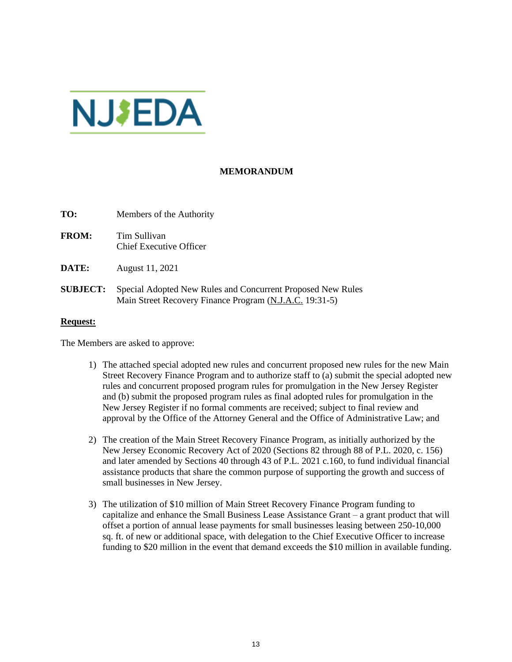

## **MEMORANDUM**

**TO:** Members of the Authority

- **FROM:** Tim Sullivan Chief Executive Officer
- **DATE:** August 11, 2021
- **SUBJECT:** Special Adopted New Rules and Concurrent Proposed New Rules Main Street Recovery Finance Program (N.J.A.C. 19:31-5)

## **Request:**

The Members are asked to approve:

- 1) The attached special adopted new rules and concurrent proposed new rules for the new Main Street Recovery Finance Program and to authorize staff to (a) submit the special adopted new rules and concurrent proposed program rules for promulgation in the New Jersey Register and (b) submit the proposed program rules as final adopted rules for promulgation in the New Jersey Register if no formal comments are received; subject to final review and approval by the Office of the Attorney General and the Office of Administrative Law; and
- 2) The creation of the Main Street Recovery Finance Program, as initially authorized by the New Jersey Economic Recovery Act of 2020 (Sections 82 through 88 of P.L. 2020, c. 156) and later amended by Sections 40 through 43 of P.L. 2021 c.160, to fund individual financial assistance products that share the common purpose of supporting the growth and success of small businesses in New Jersey.
- 3) The utilization of \$10 million of Main Street Recovery Finance Program funding to capitalize and enhance the Small Business Lease Assistance Grant – a grant product that will offset a portion of annual lease payments for small businesses leasing between 250-10,000 sq. ft. of new or additional space, with delegation to the Chief Executive Officer to increase funding to \$20 million in the event that demand exceeds the \$10 million in available funding.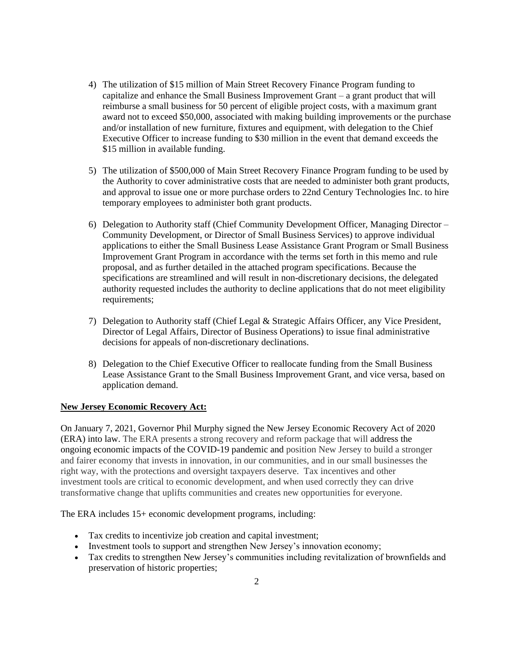- 4) The utilization of \$15 million of Main Street Recovery Finance Program funding to capitalize and enhance the Small Business Improvement Grant – a grant product that will reimburse a small business for 50 percent of eligible project costs, with a maximum grant award not to exceed \$50,000, associated with making building improvements or the purchase and/or installation of new furniture, fixtures and equipment, with delegation to the Chief Executive Officer to increase funding to \$30 million in the event that demand exceeds the \$15 million in available funding.
- 5) The utilization of \$500,000 of Main Street Recovery Finance Program funding to be used by the Authority to cover administrative costs that are needed to administer both grant products, and approval to issue one or more purchase orders to 22nd Century Technologies Inc. to hire temporary employees to administer both grant products.
- 6) Delegation to Authority staff (Chief Community Development Officer, Managing Director Community Development, or Director of Small Business Services) to approve individual applications to either the Small Business Lease Assistance Grant Program or Small Business Improvement Grant Program in accordance with the terms set forth in this memo and rule proposal, and as further detailed in the attached program specifications. Because the specifications are streamlined and will result in non-discretionary decisions, the delegated authority requested includes the authority to decline applications that do not meet eligibility requirements;
- 7) Delegation to Authority staff (Chief Legal & Strategic Affairs Officer, any Vice President, Director of Legal Affairs, Director of Business Operations) to issue final administrative decisions for appeals of non-discretionary declinations.
- 8) Delegation to the Chief Executive Officer to reallocate funding from the Small Business Lease Assistance Grant to the Small Business Improvement Grant, and vice versa, based on application demand.

## **New Jersey Economic Recovery Act:**

On January 7, 2021, Governor Phil Murphy signed the New Jersey Economic Recovery Act of 2020 (ERA) into law. The ERA presents a strong recovery and reform package that will address the ongoing economic impacts of the COVID-19 pandemic and position New Jersey to build a stronger and fairer economy that invests in innovation, in our communities, and in our small businesses the right way, with the protections and oversight taxpayers deserve. Tax incentives and other investment tools are critical to economic development, and when used correctly they can drive transformative change that uplifts communities and creates new opportunities for everyone.

The ERA includes 15+ economic development programs, including:

- Tax credits to incentivize job creation and capital investment;
- Investment tools to support and strengthen New Jersey's innovation economy;
- Tax credits to strengthen New Jersey's communities including revitalization of brownfields and preservation of historic properties;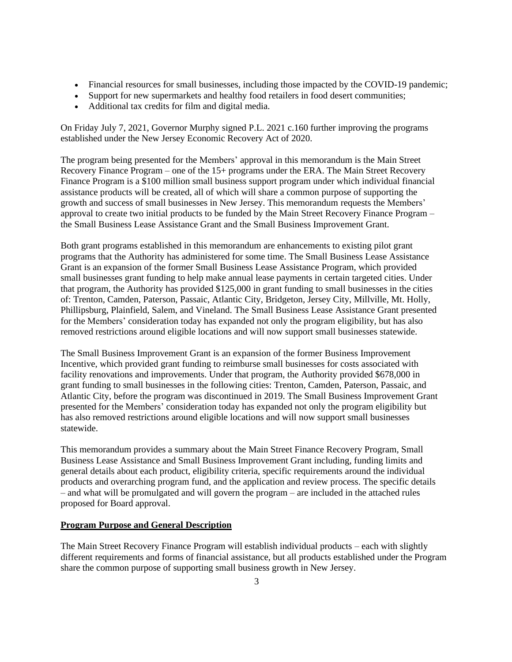- Financial resources for small businesses, including those impacted by the COVID-19 pandemic;
- Support for new supermarkets and healthy food retailers in food desert communities;
- Additional tax credits for film and digital media.

On Friday July 7, 2021, Governor Murphy signed P.L. 2021 c.160 further improving the programs established under the New Jersey Economic Recovery Act of 2020.

The program being presented for the Members' approval in this memorandum is the Main Street Recovery Finance Program – one of the 15+ programs under the ERA. The Main Street Recovery Finance Program is a \$100 million small business support program under which individual financial assistance products will be created, all of which will share a common purpose of supporting the growth and success of small businesses in New Jersey. This memorandum requests the Members' approval to create two initial products to be funded by the Main Street Recovery Finance Program – the Small Business Lease Assistance Grant and the Small Business Improvement Grant.

Both grant programs established in this memorandum are enhancements to existing pilot grant programs that the Authority has administered for some time. The Small Business Lease Assistance Grant is an expansion of the former Small Business Lease Assistance Program, which provided small businesses grant funding to help make annual lease payments in certain targeted cities. Under that program, the Authority has provided \$125,000 in grant funding to small businesses in the cities of: Trenton, Camden, Paterson, Passaic, Atlantic City, Bridgeton, Jersey City, Millville, Mt. Holly, Phillipsburg, Plainfield, Salem, and Vineland. The Small Business Lease Assistance Grant presented for the Members' consideration today has expanded not only the program eligibility, but has also removed restrictions around eligible locations and will now support small businesses statewide.

The Small Business Improvement Grant is an expansion of the former Business Improvement Incentive, which provided grant funding to reimburse small businesses for costs associated with facility renovations and improvements. Under that program, the Authority provided \$678,000 in grant funding to small businesses in the following cities: Trenton, Camden, Paterson, Passaic, and Atlantic City, before the program was discontinued in 2019. The Small Business Improvement Grant presented for the Members' consideration today has expanded not only the program eligibility but has also removed restrictions around eligible locations and will now support small businesses statewide.

This memorandum provides a summary about the Main Street Finance Recovery Program, Small Business Lease Assistance and Small Business Improvement Grant including, funding limits and general details about each product, eligibility criteria, specific requirements around the individual products and overarching program fund, and the application and review process. The specific details – and what will be promulgated and will govern the program – are included in the attached rules proposed for Board approval.

## **Program Purpose and General Description**

The Main Street Recovery Finance Program will establish individual products – each with slightly different requirements and forms of financial assistance, but all products established under the Program share the common purpose of supporting small business growth in New Jersey.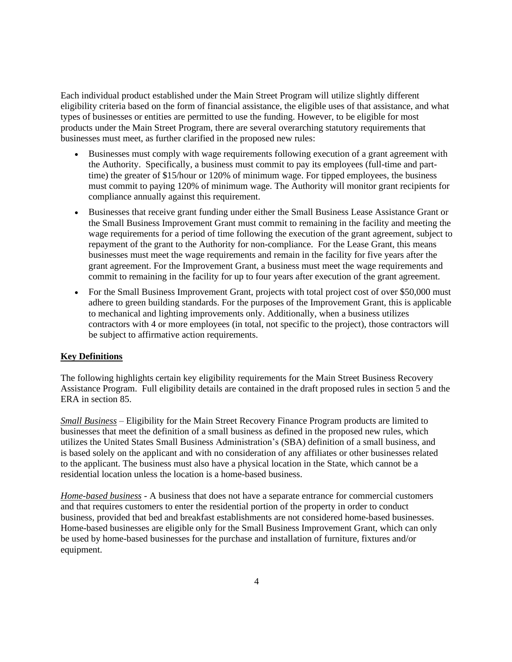Each individual product established under the Main Street Program will utilize slightly different eligibility criteria based on the form of financial assistance, the eligible uses of that assistance, and what types of businesses or entities are permitted to use the funding. However, to be eligible for most products under the Main Street Program, there are several overarching statutory requirements that businesses must meet, as further clarified in the proposed new rules:

- Businesses must comply with wage requirements following execution of a grant agreement with the Authority. Specifically, a business must commit to pay its employees (full-time and parttime) the greater of \$15/hour or 120% of minimum wage. For tipped employees, the business must commit to paying 120% of minimum wage. The Authority will monitor grant recipients for compliance annually against this requirement.
- Businesses that receive grant funding under either the Small Business Lease Assistance Grant or the Small Business Improvement Grant must commit to remaining in the facility and meeting the wage requirements for a period of time following the execution of the grant agreement, subject to repayment of the grant to the Authority for non-compliance. For the Lease Grant, this means businesses must meet the wage requirements and remain in the facility for five years after the grant agreement. For the Improvement Grant, a business must meet the wage requirements and commit to remaining in the facility for up to four years after execution of the grant agreement.
- For the Small Business Improvement Grant, projects with total project cost of over \$50,000 must adhere to green building standards. For the purposes of the Improvement Grant, this is applicable to mechanical and lighting improvements only. Additionally, when a business utilizes contractors with 4 or more employees (in total, not specific to the project), those contractors will be subject to affirmative action requirements.

## **Key Definitions**

The following highlights certain key eligibility requirements for the Main Street Business Recovery Assistance Program. Full eligibility details are contained in the draft proposed rules in section 5 and the ERA in section 85.

*Small Business –* Eligibility for the Main Street Recovery Finance Program products are limited to businesses that meet the definition of a small business as defined in the proposed new rules, which utilizes the United States Small Business Administration's (SBA) definition of a small business, and is based solely on the applicant and with no consideration of any affiliates or other businesses related to the applicant. The business must also have a physical location in the State, which cannot be a residential location unless the location is a home-based business.

*Home-based business* - A business that does not have a separate entrance for commercial customers and that requires customers to enter the residential portion of the property in order to conduct business, provided that bed and breakfast establishments are not considered home-based businesses. Home-based businesses are eligible only for the Small Business Improvement Grant, which can only be used by home-based businesses for the purchase and installation of furniture, fixtures and/or equipment.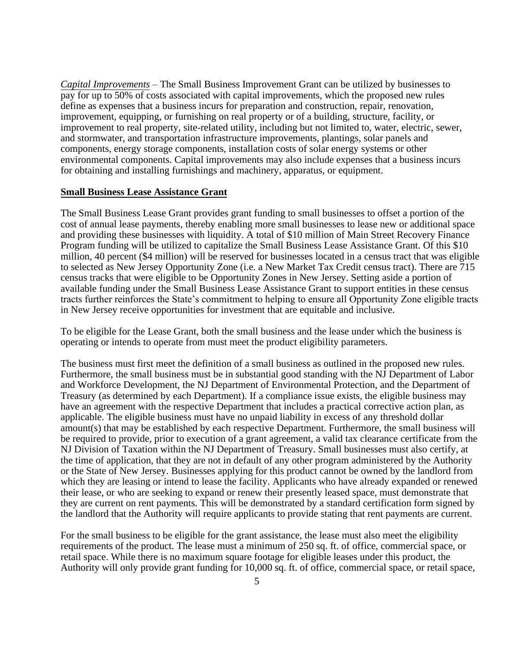*Capital Improvements –* The Small Business Improvement Grant can be utilized by businesses to pay for up to 50% of costs associated with capital improvements, which the proposed new rules define as expenses that a business incurs for preparation and construction, repair, renovation, improvement, equipping, or furnishing on real property or of a building, structure, facility, or improvement to real property, site-related utility, including but not limited to, water, electric, sewer, and stormwater, and transportation infrastructure improvements, plantings, solar panels and components, energy storage components, installation costs of solar energy systems or other environmental components. Capital improvements may also include expenses that a business incurs for obtaining and installing furnishings and machinery, apparatus, or equipment.

#### **Small Business Lease Assistance Grant**

The Small Business Lease Grant provides grant funding to small businesses to offset a portion of the cost of annual lease payments, thereby enabling more small businesses to lease new or additional space and providing these businesses with liquidity. A total of \$10 million of Main Street Recovery Finance Program funding will be utilized to capitalize the Small Business Lease Assistance Grant. Of this \$10 million, 40 percent (\$4 million) will be reserved for businesses located in a census tract that was eligible to selected as New Jersey Opportunity Zone (i.e. a New Market Tax Credit census tract). There are 715 census tracks that were eligible to be Opportunity Zones in New Jersey. Setting aside a portion of available funding under the Small Business Lease Assistance Grant to support entities in these census tracts further reinforces the State's commitment to helping to ensure all Opportunity Zone eligible tracts in New Jersey receive opportunities for investment that are equitable and inclusive.

To be eligible for the Lease Grant, both the small business and the lease under which the business is operating or intends to operate from must meet the product eligibility parameters.

The business must first meet the definition of a small business as outlined in the proposed new rules. Furthermore, the small business must be in substantial good standing with the NJ Department of Labor and Workforce Development, the NJ Department of Environmental Protection, and the Department of Treasury (as determined by each Department). If a compliance issue exists, the eligible business may have an agreement with the respective Department that includes a practical corrective action plan, as applicable. The eligible business must have no unpaid liability in excess of any threshold dollar amount(s) that may be established by each respective Department. Furthermore, the small business will be required to provide, prior to execution of a grant agreement, a valid tax clearance certificate from the NJ Division of Taxation within the NJ Department of Treasury. Small businesses must also certify, at the time of application, that they are not in default of any other program administered by the Authority or the State of New Jersey. Businesses applying for this product cannot be owned by the landlord from which they are leasing or intend to lease the facility. Applicants who have already expanded or renewed their lease, or who are seeking to expand or renew their presently leased space, must demonstrate that they are current on rent payments. This will be demonstrated by a standard certification form signed by the landlord that the Authority will require applicants to provide stating that rent payments are current.

For the small business to be eligible for the grant assistance, the lease must also meet the eligibility requirements of the product. The lease must a minimum of 250 sq. ft. of office, commercial space, or retail space. While there is no maximum square footage for eligible leases under this product, the Authority will only provide grant funding for 10,000 sq. ft. of office, commercial space, or retail space,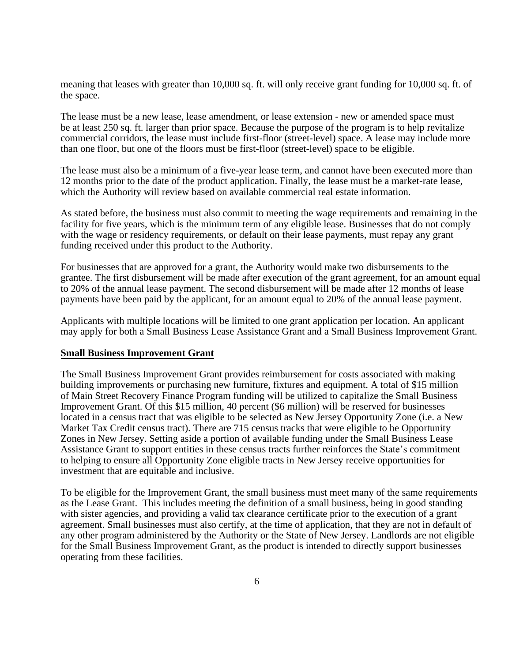meaning that leases with greater than 10,000 sq. ft. will only receive grant funding for 10,000 sq. ft. of the space.

The lease must be a new lease, lease amendment, or lease extension - new or amended space must be at least 250 sq. ft. larger than prior space. Because the purpose of the program is to help revitalize commercial corridors, the lease must include first-floor (street-level) space. A lease may include more than one floor, but one of the floors must be first-floor (street-level) space to be eligible.

The lease must also be a minimum of a five-year lease term, and cannot have been executed more than 12 months prior to the date of the product application. Finally, the lease must be a market-rate lease, which the Authority will review based on available commercial real estate information.

As stated before, the business must also commit to meeting the wage requirements and remaining in the facility for five years, which is the minimum term of any eligible lease. Businesses that do not comply with the wage or residency requirements, or default on their lease payments, must repay any grant funding received under this product to the Authority.

For businesses that are approved for a grant, the Authority would make two disbursements to the grantee. The first disbursement will be made after execution of the grant agreement, for an amount equal to 20% of the annual lease payment. The second disbursement will be made after 12 months of lease payments have been paid by the applicant, for an amount equal to 20% of the annual lease payment.

Applicants with multiple locations will be limited to one grant application per location. An applicant may apply for both a Small Business Lease Assistance Grant and a Small Business Improvement Grant.

#### **Small Business Improvement Grant**

The Small Business Improvement Grant provides reimbursement for costs associated with making building improvements or purchasing new furniture, fixtures and equipment. A total of \$15 million of Main Street Recovery Finance Program funding will be utilized to capitalize the Small Business Improvement Grant. Of this \$15 million, 40 percent (\$6 million) will be reserved for businesses located in a census tract that was eligible to be selected as New Jersey Opportunity Zone (i.e. a New Market Tax Credit census tract). There are 715 census tracks that were eligible to be Opportunity Zones in New Jersey. Setting aside a portion of available funding under the Small Business Lease Assistance Grant to support entities in these census tracts further reinforces the State's commitment to helping to ensure all Opportunity Zone eligible tracts in New Jersey receive opportunities for investment that are equitable and inclusive.

To be eligible for the Improvement Grant, the small business must meet many of the same requirements as the Lease Grant. This includes meeting the definition of a small business, being in good standing with sister agencies, and providing a valid tax clearance certificate prior to the execution of a grant agreement. Small businesses must also certify, at the time of application, that they are not in default of any other program administered by the Authority or the State of New Jersey. Landlords are not eligible for the Small Business Improvement Grant, as the product is intended to directly support businesses operating from these facilities.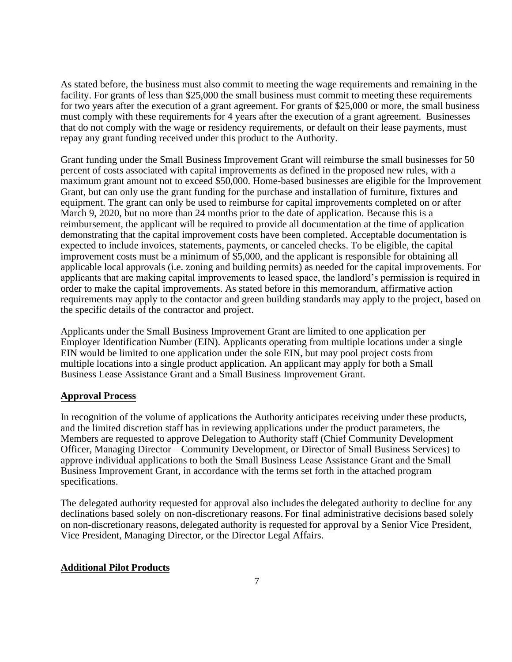As stated before, the business must also commit to meeting the wage requirements and remaining in the facility. For grants of less than \$25,000 the small business must commit to meeting these requirements for two years after the execution of a grant agreement. For grants of \$25,000 or more, the small business must comply with these requirements for 4 years after the execution of a grant agreement. Businesses that do not comply with the wage or residency requirements, or default on their lease payments, must repay any grant funding received under this product to the Authority.

Grant funding under the Small Business Improvement Grant will reimburse the small businesses for 50 percent of costs associated with capital improvements as defined in the proposed new rules, with a maximum grant amount not to exceed \$50,000. Home-based businesses are eligible for the Improvement Grant, but can only use the grant funding for the purchase and installation of furniture, fixtures and equipment. The grant can only be used to reimburse for capital improvements completed on or after March 9, 2020, but no more than 24 months prior to the date of application. Because this is a reimbursement, the applicant will be required to provide all documentation at the time of application demonstrating that the capital improvement costs have been completed. Acceptable documentation is expected to include invoices, statements, payments, or canceled checks. To be eligible, the capital improvement costs must be a minimum of \$5,000, and the applicant is responsible for obtaining all applicable local approvals (i.e. zoning and building permits) as needed for the capital improvements. For applicants that are making capital improvements to leased space, the landlord's permission is required in order to make the capital improvements. As stated before in this memorandum, affirmative action requirements may apply to the contactor and green building standards may apply to the project, based on the specific details of the contractor and project.

Applicants under the Small Business Improvement Grant are limited to one application per Employer Identification Number (EIN). Applicants operating from multiple locations under a single EIN would be limited to one application under the sole EIN, but may pool project costs from multiple locations into a single product application. An applicant may apply for both a Small Business Lease Assistance Grant and a Small Business Improvement Grant.

# **Approval Process**

In recognition of the volume of applications the Authority anticipates receiving under these products, and the limited discretion staff has in reviewing applications under the product parameters, the Members are requested to approve Delegation to Authority staff (Chief Community Development Officer, Managing Director – Community Development, or Director of Small Business Services) to approve individual applications to both the Small Business Lease Assistance Grant and the Small Business Improvement Grant, in accordance with the terms set forth in the attached program specifications.

The delegated authority requested for approval also includes the delegated authority to decline for any declinations based solely on non-discretionary reasons. For final administrative decisions based solely on non-discretionary reasons, delegated authority is requested for approval by a Senior Vice President, Vice President, Managing Director, or the Director Legal Affairs.

## **Additional Pilot Products**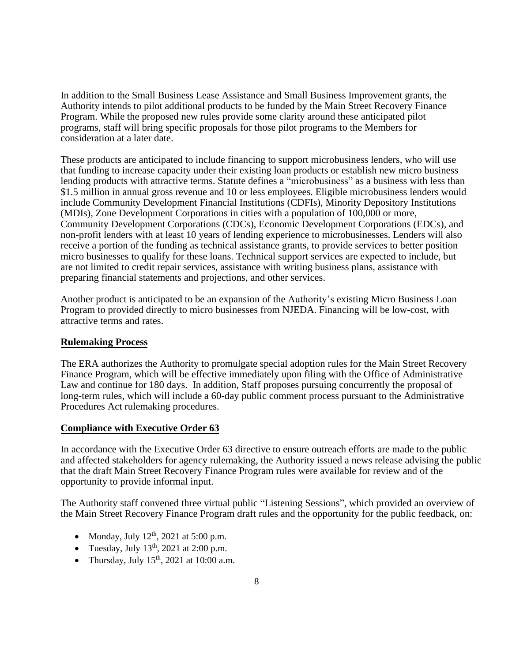In addition to the Small Business Lease Assistance and Small Business Improvement grants, the Authority intends to pilot additional products to be funded by the Main Street Recovery Finance Program. While the proposed new rules provide some clarity around these anticipated pilot programs, staff will bring specific proposals for those pilot programs to the Members for consideration at a later date.

These products are anticipated to include financing to support microbusiness lenders, who will use that funding to increase capacity under their existing loan products or establish new micro business lending products with attractive terms. Statute defines a "microbusiness" as a business with less than \$1.5 million in annual gross revenue and 10 or less employees. Eligible microbusiness lenders would include Community Development Financial Institutions (CDFIs), Minority Depository Institutions (MDIs), Zone Development Corporations in cities with a population of 100,000 or more, Community Development Corporations (CDCs), Economic Development Corporations (EDCs), and non-profit lenders with at least 10 years of lending experience to microbusinesses. Lenders will also receive a portion of the funding as technical assistance grants, to provide services to better position micro businesses to qualify for these loans. Technical support services are expected to include, but are not limited to credit repair services, assistance with writing business plans, assistance with preparing financial statements and projections, and other services.

Another product is anticipated to be an expansion of the Authority's existing Micro Business Loan Program to provided directly to micro businesses from NJEDA. Financing will be low-cost, with attractive terms and rates.

## **Rulemaking Process**

The ERA authorizes the Authority to promulgate special adoption rules for the Main Street Recovery Finance Program, which will be effective immediately upon filing with the Office of Administrative Law and continue for 180 days. In addition, Staff proposes pursuing concurrently the proposal of long-term rules, which will include a 60-day public comment process pursuant to the Administrative Procedures Act rulemaking procedures.

# **Compliance with Executive Order 63**

In accordance with the Executive Order 63 directive to ensure outreach efforts are made to the public and affected stakeholders for agency rulemaking, the Authority issued a news release advising the public that the draft Main Street Recovery Finance Program rules were available for review and of the opportunity to provide informal input.

The Authority staff convened three virtual public "Listening Sessions", which provided an overview of the Main Street Recovery Finance Program draft rules and the opportunity for the public feedback, on:

- Monday, July  $12<sup>th</sup>$ , 2021 at 5:00 p.m.
- Tuesday, July  $13<sup>th</sup>$ , 2021 at 2:00 p.m.
- Thursday, July  $15<sup>th</sup>$ , 2021 at 10:00 a.m.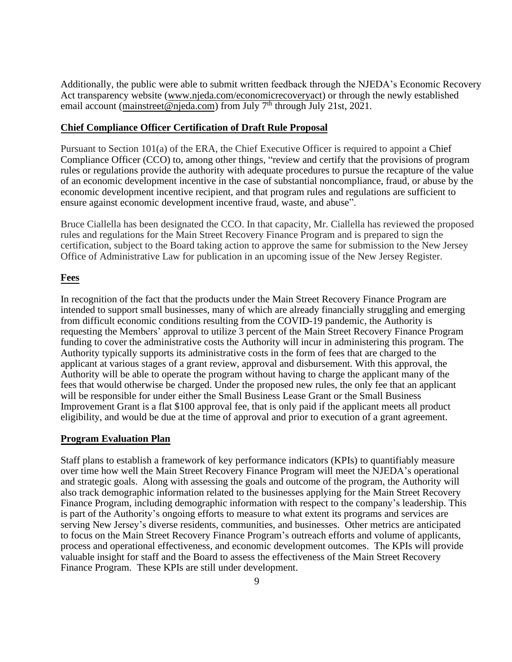Additionally, the public were able to submit written feedback through the NJEDA's Economic Recovery Act transparency website (www.njeda.com/economicrecoveryact) or through the newly established email account (mainstreet@njeda.com) from July  $7<sup>th</sup>$  through July 21st, 2021.

### **Chief Compliance Officer Certification of Draft Rule Proposal**

Pursuant to Section 101(a) of the ERA, the Chief Executive Officer is required to appoint a Chief Compliance Officer (CCO) to, among other things, "review and certify that the provisions of program rules or regulations provide the authority with adequate procedures to pursue the recapture of the value of an economic development incentive in the case of substantial noncompliance, fraud, or abuse by the economic development incentive recipient, and that program rules and regulations are sufficient to ensure against economic development incentive fraud, waste, and abuse".

Bruce Ciallella has been designated the CCO. In that capacity, Mr. Ciallella has reviewed the proposed rules and regulations for the Main Street Recovery Finance Program and is prepared to sign the certification, subject to the Board taking action to approve the same for submission to the New Jersey Office of Administrative Law for publication in an upcoming issue of the New Jersey Register.

### **Fees**

In recognition of the fact that the products under the Main Street Recovery Finance Program are intended to support small businesses, many of which are already financially struggling and emerging from difficult economic conditions resulting from the COVID-19 pandemic, the Authority is requesting the Members' approval to utilize 3 percent of the Main Street Recovery Finance Program funding to cover the administrative costs the Authority will incur in administering this program. The Authority typically supports its administrative costs in the form of fees that are charged to the applicant at various stages of a grant review, approval and disbursement. With this approval, the Authority will be able to operate the program without having to charge the applicant many of the fees that would otherwise be charged. Under the proposed new rules, the only fee that an applicant will be responsible for under either the Small Business Lease Grant or the Small Business Improvement Grant is a flat \$100 approval fee, that is only paid if the applicant meets all product eligibility, and would be due at the time of approval and prior to execution of a grant agreement.

#### **Program Evaluation Plan**

Staff plans to establish a framework of key performance indicators (KPIs) to quantifiably measure over time how well the Main Street Recovery Finance Program will meet the NJEDA's operational and strategic goals. Along with assessing the goals and outcome of the program, the Authority will also track demographic information related to the businesses applying for the Main Street Recovery Finance Program, including demographic information with respect to the company's leadership. This is part of the Authority's ongoing efforts to measure to what extent its programs and services are serving New Jersey's diverse residents, communities, and businesses. Other metrics are anticipated to focus on the Main Street Recovery Finance Program's outreach efforts and volume of applicants, process and operational effectiveness, and economic development outcomes. The KPIs will provide valuable insight for staff and the Board to assess the effectiveness of the Main Street Recovery Finance Program. These KPIs are still under development.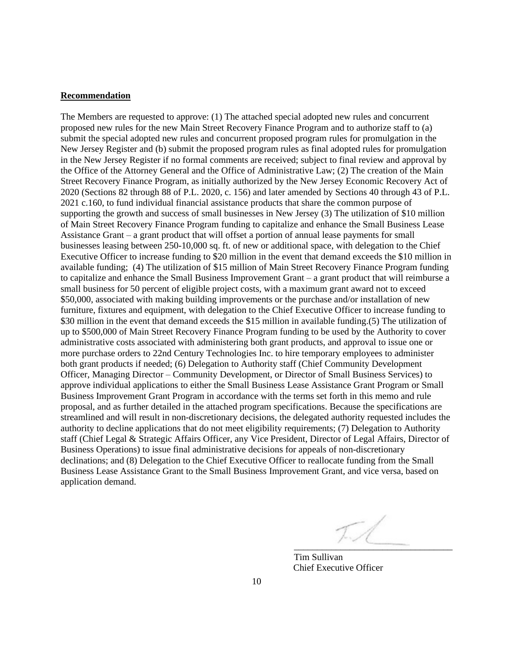#### **Recommendation**

The Members are requested to approve: (1) The attached special adopted new rules and concurrent proposed new rules for the new Main Street Recovery Finance Program and to authorize staff to (a) submit the special adopted new rules and concurrent proposed program rules for promulgation in the New Jersey Register and (b) submit the proposed program rules as final adopted rules for promulgation in the New Jersey Register if no formal comments are received; subject to final review and approval by the Office of the Attorney General and the Office of Administrative Law; (2) The creation of the Main Street Recovery Finance Program, as initially authorized by the New Jersey Economic Recovery Act of 2020 (Sections 82 through 88 of P.L. 2020, c. 156) and later amended by Sections 40 through 43 of P.L. 2021 c.160, to fund individual financial assistance products that share the common purpose of supporting the growth and success of small businesses in New Jersey (3) The utilization of \$10 million of Main Street Recovery Finance Program funding to capitalize and enhance the Small Business Lease Assistance Grant – a grant product that will offset a portion of annual lease payments for small businesses leasing between 250-10,000 sq. ft. of new or additional space, with delegation to the Chief Executive Officer to increase funding to \$20 million in the event that demand exceeds the \$10 million in available funding; (4) The utilization of \$15 million of Main Street Recovery Finance Program funding to capitalize and enhance the Small Business Improvement Grant – a grant product that will reimburse a small business for 50 percent of eligible project costs, with a maximum grant award not to exceed \$50,000, associated with making building improvements or the purchase and/or installation of new furniture, fixtures and equipment, with delegation to the Chief Executive Officer to increase funding to \$30 million in the event that demand exceeds the \$15 million in available funding.(5) The utilization of up to \$500,000 of Main Street Recovery Finance Program funding to be used by the Authority to cover administrative costs associated with administering both grant products, and approval to issue one or more purchase orders to 22nd Century Technologies Inc. to hire temporary employees to administer both grant products if needed; (6) Delegation to Authority staff (Chief Community Development Officer, Managing Director – Community Development, or Director of Small Business Services) to approve individual applications to either the Small Business Lease Assistance Grant Program or Small Business Improvement Grant Program in accordance with the terms set forth in this memo and rule proposal, and as further detailed in the attached program specifications. Because the specifications are streamlined and will result in non-discretionary decisions, the delegated authority requested includes the authority to decline applications that do not meet eligibility requirements; (7) Delegation to Authority staff (Chief Legal & Strategic Affairs Officer, any Vice President, Director of Legal Affairs, Director of Business Operations) to issue final administrative decisions for appeals of non-discretionary declinations; and (8) Delegation to the Chief Executive Officer to reallocate funding from the Small Business Lease Assistance Grant to the Small Business Improvement Grant, and vice versa, based on application demand.

 $\overline{\phantom{a}}$  ,  $\overline{\phantom{a}}$  ,  $\overline{\phantom{a}}$  ,  $\overline{\phantom{a}}$  ,  $\overline{\phantom{a}}$  ,  $\overline{\phantom{a}}$  ,  $\overline{\phantom{a}}$  ,  $\overline{\phantom{a}}$  ,  $\overline{\phantom{a}}$  ,  $\overline{\phantom{a}}$  ,  $\overline{\phantom{a}}$  ,  $\overline{\phantom{a}}$  ,  $\overline{\phantom{a}}$  ,  $\overline{\phantom{a}}$  ,  $\overline{\phantom{a}}$  ,  $\overline{\phantom{a}}$ 

Tim Sullivan Chief Executive Officer